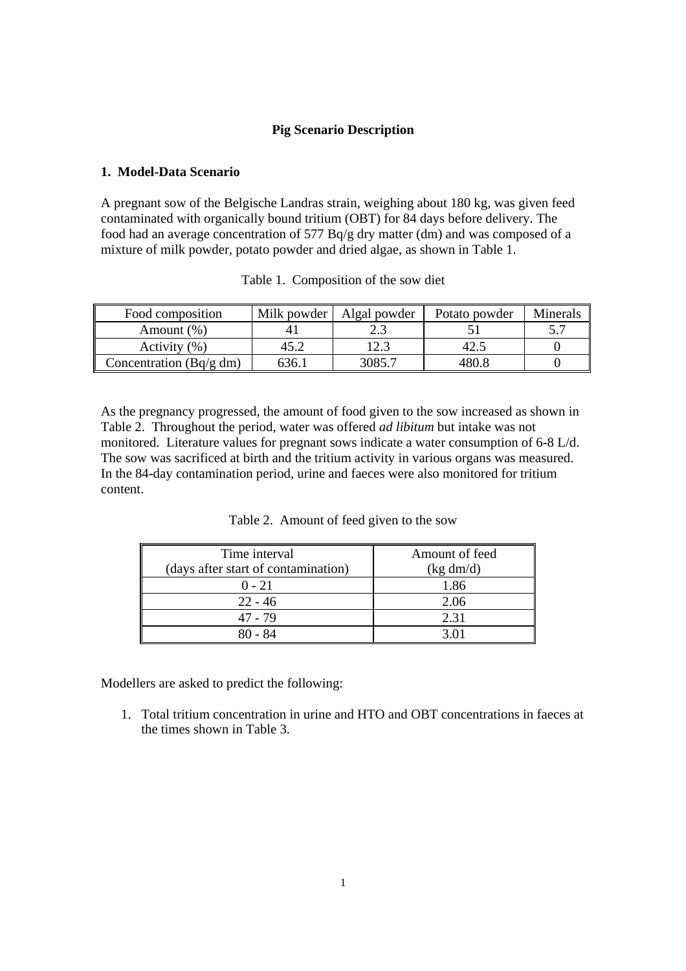# **Pig Scenario Description**

# **1. Model-Data Scenario**

A pregnant sow of the Belgische Landras strain, weighing about 180 kg, was given feed contaminated with organically bound tritium (OBT) for 84 days before delivery. The food had an average concentration of 577 Bq/g dry matter (dm) and was composed of a mixture of milk powder, potato powder and dried algae, as shown in Table 1.

| Food composition        | Milk powder | Algal powder | Potato powder | Minerals |
|-------------------------|-------------|--------------|---------------|----------|
| Amount $(\%)$           |             |              |               |          |
| Activity (%)            |             |              |               |          |
| Concentration (Bq/g dm) | 636.1       | 3085.7       | 480.8         |          |

Table 1. Composition of the sow diet

As the pregnancy progressed, the amount of food given to the sow increased as shown in Table 2. Throughout the period, water was offered *ad libitum* but intake was not monitored. Literature values for pregnant sows indicate a water consumption of 6-8 L/d. The sow was sacrificed at birth and the tritium activity in various organs was measured. In the 84-day contamination period, urine and faeces were also monitored for tritium content.

| Time interval                       | Amount of feed |  |
|-------------------------------------|----------------|--|
| (days after start of contamination) | (kg dm/d)      |  |
| $0 - 21$                            | 1.86           |  |
| $22 - 46$                           | 2.06           |  |
| 47 - 79                             | 2.31           |  |
| 80 - 84                             |                |  |

Table 2. Amount of feed given to the sow

Modellers are asked to predict the following:

1. Total tritium concentration in urine and HTO and OBT concentrations in faeces at the times shown in Table 3.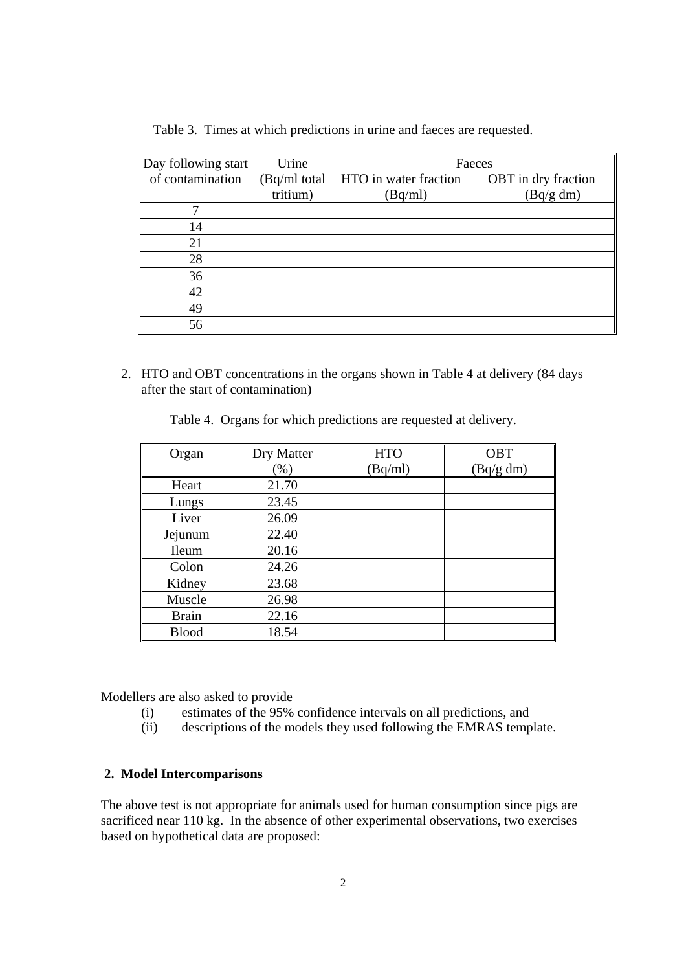| Day following start | Urine        | Faeces                |                     |  |  |
|---------------------|--------------|-----------------------|---------------------|--|--|
| of contamination    | (Bq/ml total | HTO in water fraction | OBT in dry fraction |  |  |
|                     | tritium)     | (Bq/ml)               | (Bq/g dm)           |  |  |
|                     |              |                       |                     |  |  |
| 14                  |              |                       |                     |  |  |
| 21                  |              |                       |                     |  |  |
| 28                  |              |                       |                     |  |  |
| 36                  |              |                       |                     |  |  |
| 42                  |              |                       |                     |  |  |
| 49                  |              |                       |                     |  |  |
| 56                  |              |                       |                     |  |  |

Table 3. Times at which predictions in urine and faeces are requested.

2. HTO and OBT concentrations in the organs shown in Table 4 at delivery (84 days after the start of contamination)

Table 4. Organs for which predictions are requested at delivery.

| Organ        | Dry Matter | <b>HTO</b> | OBT       |
|--------------|------------|------------|-----------|
|              | (%)        | (Bq/ml)    | (Bq/g dm) |
| Heart        | 21.70      |            |           |
| Lungs        | 23.45      |            |           |
| Liver        | 26.09      |            |           |
| Jejunum      | 22.40      |            |           |
| <b>Ileum</b> | 20.16      |            |           |
| Colon        | 24.26      |            |           |
| Kidney       | 23.68      |            |           |
| Muscle       | 26.98      |            |           |
| <b>Brain</b> | 22.16      |            |           |
| <b>Blood</b> | 18.54      |            |           |

Modellers are also asked to provide

- (i) estimates of the 95% confidence intervals on all predictions, and
- (ii) descriptions of the models they used following the EMRAS template.

### **2. Model Intercomparisons**

The above test is not appropriate for animals used for human consumption since pigs are sacrificed near 110 kg. In the absence of other experimental observations, two exercises based on hypothetical data are proposed: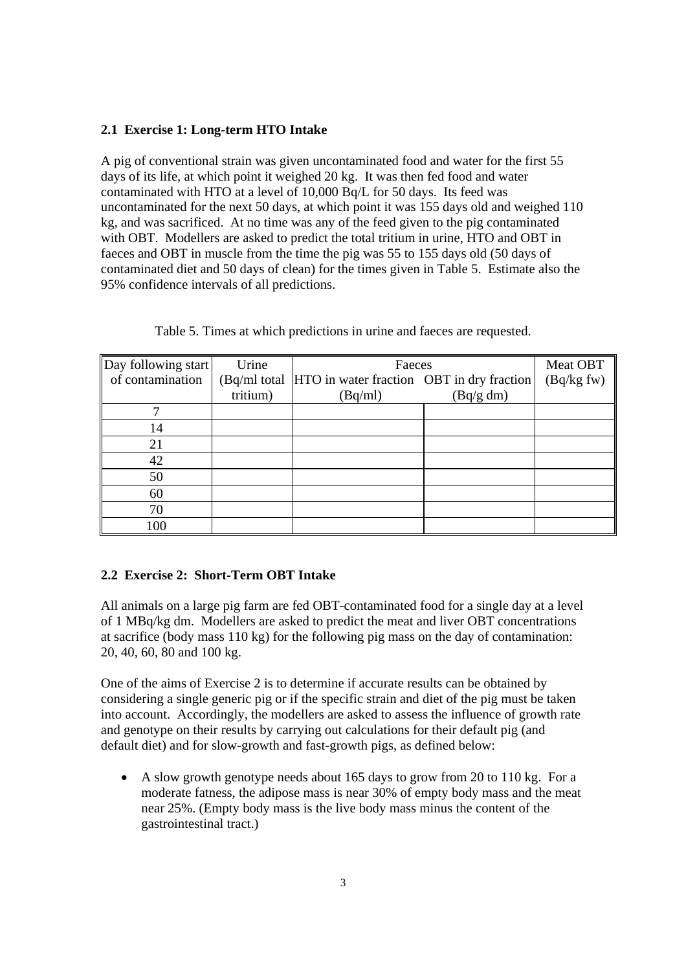## **2.1 Exercise 1: Long-term HTO Intake**

A pig of conventional strain was given uncontaminated food and water for the first 55 days of its life, at which point it weighed 20 kg. It was then fed food and water contaminated with HTO at a level of 10,000 Bq/L for 50 days. Its feed was uncontaminated for the next 50 days, at which point it was 155 days old and weighed 110 kg, and was sacrificed. At no time was any of the feed given to the pig contaminated with OBT. Modellers are asked to predict the total tritium in urine, HTO and OBT in faeces and OBT in muscle from the time the pig was 55 to 155 days old (50 days of contaminated diet and 50 days of clean) for the times given in Table 5. Estimate also the 95% confidence intervals of all predictions.

| Day following start | Urine    | Faeces                                                  | Meat OBT  |             |
|---------------------|----------|---------------------------------------------------------|-----------|-------------|
| of contamination    |          | (Bq/ml total  HTO in water fraction OBT in dry fraction |           | (Bq/kg f w) |
|                     | tritium) | (Bq/ml)                                                 | (Bq/g dm) |             |
|                     |          |                                                         |           |             |
| 14                  |          |                                                         |           |             |
| 21                  |          |                                                         |           |             |
| 42                  |          |                                                         |           |             |
| 50                  |          |                                                         |           |             |
| 60                  |          |                                                         |           |             |
| 70                  |          |                                                         |           |             |
| 100                 |          |                                                         |           |             |

Table 5. Times at which predictions in urine and faeces are requested.

# **2.2 Exercise 2: Short-Term OBT Intake**

All animals on a large pig farm are fed OBT-contaminated food for a single day at a level of 1 MBq/kg dm. Modellers are asked to predict the meat and liver OBT concentrations at sacrifice (body mass 110 kg) for the following pig mass on the day of contamination: 20, 40, 60, 80 and 100 kg.

One of the aims of Exercise 2 is to determine if accurate results can be obtained by considering a single generic pig or if the specific strain and diet of the pig must be taken into account. Accordingly, the modellers are asked to assess the influence of growth rate and genotype on their results by carrying out calculations for their default pig (and default diet) and for slow-growth and fast-growth pigs, as defined below:

• A slow growth genotype needs about 165 days to grow from 20 to 110 kg. For a moderate fatness, the adipose mass is near 30% of empty body mass and the meat near 25%. (Empty body mass is the live body mass minus the content of the gastrointestinal tract.)